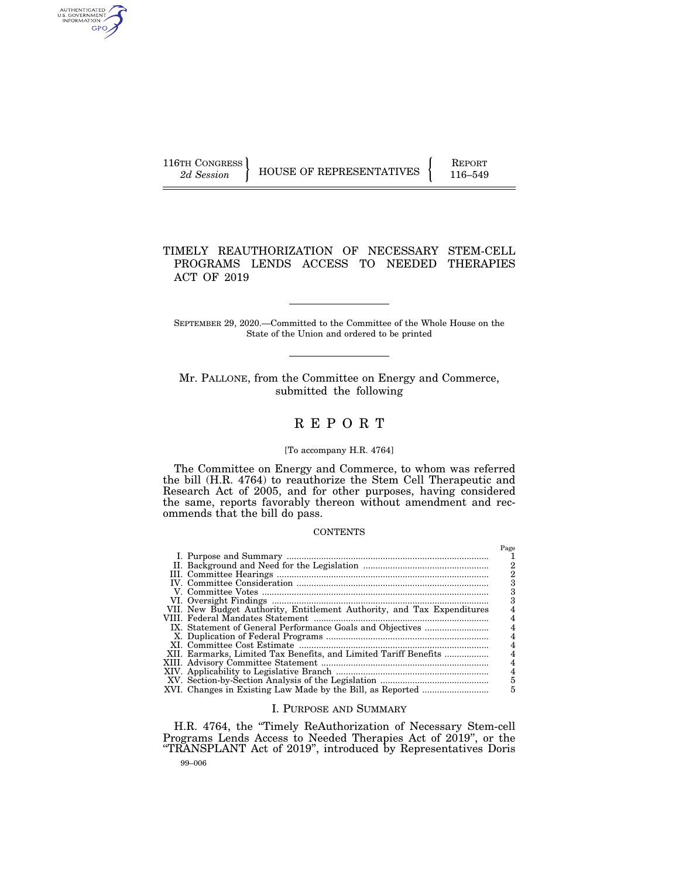AUTHENTICATED<br>U.S. GOVERNMENT<br>INFORMATION GPO

116TH CONGRESS HOUSE OF REPRESENTATIVES FEPORT 116–549

# TIMELY REAUTHORIZATION OF NECESSARY STEM-CELL PROGRAMS LENDS ACCESS TO NEEDED THERAPIES ACT OF 2019

SEPTEMBER 29, 2020.—Committed to the Committee of the Whole House on the State of the Union and ordered to be printed

Mr. PALLONE, from the Committee on Energy and Commerce, submitted the following

# R E P O R T

# [To accompany H.R. 4764]

The Committee on Energy and Commerce, to whom was referred the bill (H.R. 4764) to reauthorize the Stem Cell Therapeutic and Research Act of 2005, and for other purposes, having considered the same, reports favorably thereon without amendment and recommends that the bill do pass.

#### **CONTENTS**

|                                                                        | Page |
|------------------------------------------------------------------------|------|
|                                                                        |      |
|                                                                        | 2    |
|                                                                        | 2    |
|                                                                        | з    |
|                                                                        | з    |
|                                                                        |      |
| VII. New Budget Authority, Entitlement Authority, and Tax Expenditures |      |
|                                                                        |      |
|                                                                        |      |
|                                                                        |      |
|                                                                        |      |
| XII. Earmarks, Limited Tax Benefits, and Limited Tariff Benefits       | 4    |
|                                                                        |      |
|                                                                        |      |
|                                                                        | 5    |
|                                                                        | 5    |
|                                                                        |      |

# I. PURPOSE AND SUMMARY

H.R. 4764, the ''Timely ReAuthorization of Necessary Stem-cell Programs Lends Access to Needed Therapies Act of 2019'', or the ''TRANSPLANT Act of 2019'', introduced by Representatives Doris

99–006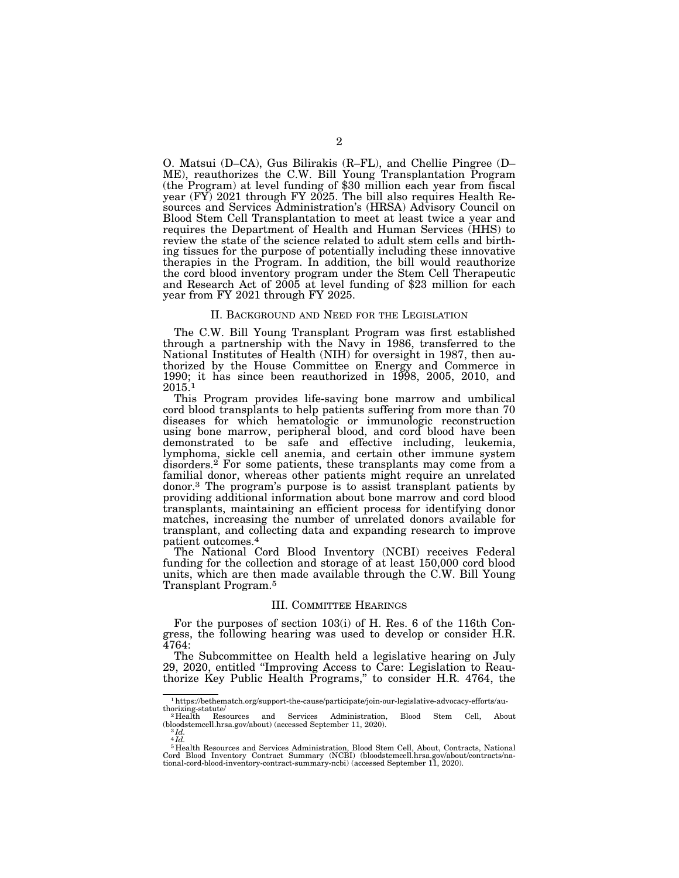O. Matsui (D–CA), Gus Bilirakis (R–FL), and Chellie Pingree (D– ME), reauthorizes the C.W. Bill Young Transplantation Program (the Program) at level funding of \$30 million each year from fiscal year (FY) 2021 through FY 2025. The bill also requires Health Resources and Services Administration's (HRSA) Advisory Council on Blood Stem Cell Transplantation to meet at least twice a year and requires the Department of Health and Human Services (HHS) to review the state of the science related to adult stem cells and birthing tissues for the purpose of potentially including these innovative therapies in the Program. In addition, the bill would reauthorize the cord blood inventory program under the Stem Cell Therapeutic and Research Act of 2005 at level funding of \$23 million for each year from FY 2021 through FY 2025.

#### II. BACKGROUND AND NEED FOR THE LEGISLATION

The C.W. Bill Young Transplant Program was first established through a partnership with the Navy in 1986, transferred to the National Institutes of Health (NIH) for oversight in 1987, then authorized by the House Committee on Energy and Commerce in 1990; it has since been reauthorized in 1998, 2005, 2010, and  $2015.^1$ 

This Program provides life-saving bone marrow and umbilical cord blood transplants to help patients suffering from more than 70 diseases for which hematologic or immunologic reconstruction using bone marrow, peripheral blood, and cord blood have been demonstrated to be safe and effective including, leukemia, lymphoma, sickle cell anemia, and certain other immune system disorders.<sup>2</sup> For some patients, these transplants may come from a familial donor, whereas other patients might require an unrelated donor.3 The program's purpose is to assist transplant patients by providing additional information about bone marrow and cord blood transplants, maintaining an efficient process for identifying donor matches, increasing the number of unrelated donors available for transplant, and collecting data and expanding research to improve patient outcomes.4

The National Cord Blood Inventory (NCBI) receives Federal funding for the collection and storage of at least 150,000 cord blood units, which are then made available through the C.W. Bill Young Transplant Program.5

#### III. COMMITTEE HEARINGS

For the purposes of section 103(i) of H. Res. 6 of the 116th Congress, the following hearing was used to develop or consider H.R. 4764:

The Subcommittee on Health held a legislative hearing on July 29, 2020, entitled ''Improving Access to Care: Legislation to Reauthorize Key Public Health Programs,'' to consider H.R. 4764, the

 $^{\rm 1}$ https://bethematch.org/support-the-cause/participate/join-our-legislative-advocacy-efforts/au-thorizing-statute/ $^{\rm 2}$ Health Resources and Services Administration, Blood Stem Cell, Abo

Resources and Services Administration, Blood Stem Cell, About (bloodstemcell.hrsa.gov/about) (accessed September 11, 2020).  $^3\mathit{Id}.$ 

 $4 Id.$ 

 $^5$  Health Resources and Services Administration, Blood Stem Cell, About, Contracts, National Cord Blood Inventory Contract Summary (NCBI) (bloodstemcell.hrsa.gov/about/contracts/national-cord-blood-inventory-contract-su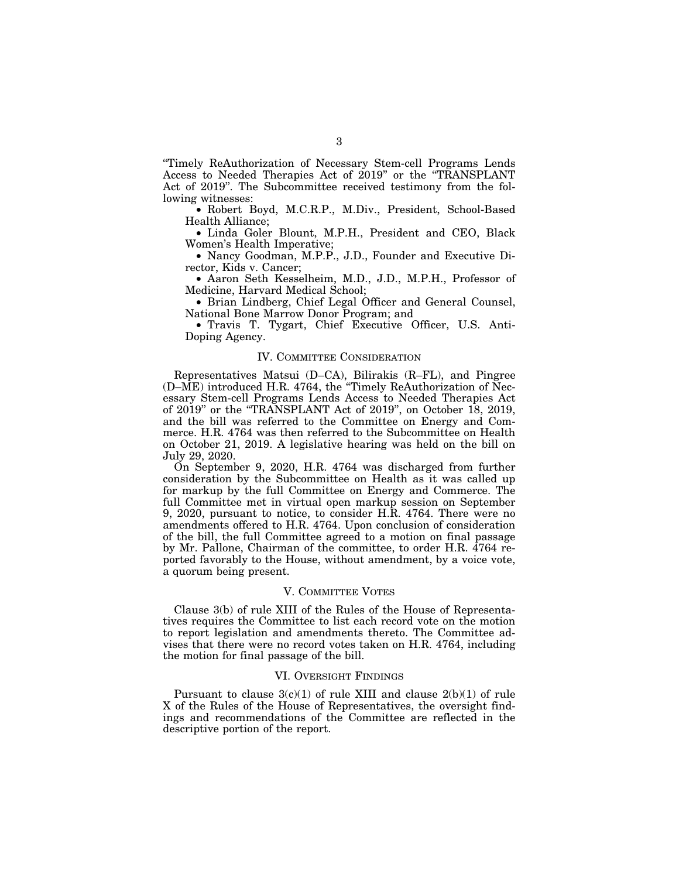''Timely ReAuthorization of Necessary Stem-cell Programs Lends Access to Needed Therapies Act of 2019'' or the ''TRANSPLANT Act of 2019''. The Subcommittee received testimony from the following witnesses:

• Robert Boyd, M.C.R.P., M.Div., President, School-Based Health Alliance;

• Linda Goler Blount, M.P.H., President and CEO, Black Women's Health Imperative;

• Nancy Goodman, M.P.P., J.D., Founder and Executive Director, Kids v. Cancer;

• Aaron Seth Kesselheim, M.D., J.D., M.P.H., Professor of Medicine, Harvard Medical School;

• Brian Lindberg, Chief Legal Officer and General Counsel, National Bone Marrow Donor Program; and

• Travis T. Tygart, Chief Executive Officer, U.S. Anti-Doping Agency.

### IV. COMMITTEE CONSIDERATION

Representatives Matsui (D–CA), Bilirakis (R–FL), and Pingree (D–ME) introduced H.R. 4764, the ''Timely ReAuthorization of Necessary Stem-cell Programs Lends Access to Needed Therapies Act of 2019'' or the ''TRANSPLANT Act of 2019'', on October 18, 2019, and the bill was referred to the Committee on Energy and Commerce. H.R. 4764 was then referred to the Subcommittee on Health on October 21, 2019. A legislative hearing was held on the bill on July 29, 2020.

On September 9, 2020, H.R. 4764 was discharged from further consideration by the Subcommittee on Health as it was called up for markup by the full Committee on Energy and Commerce. The full Committee met in virtual open markup session on September 9, 2020, pursuant to notice, to consider H.R. 4764. There were no amendments offered to H.R. 4764. Upon conclusion of consideration of the bill, the full Committee agreed to a motion on final passage by Mr. Pallone, Chairman of the committee, to order H.R. 4764 reported favorably to the House, without amendment, by a voice vote, a quorum being present.

#### V. COMMITTEE VOTES

Clause 3(b) of rule XIII of the Rules of the House of Representatives requires the Committee to list each record vote on the motion to report legislation and amendments thereto. The Committee advises that there were no record votes taken on H.R. 4764, including the motion for final passage of the bill.

# VI. OVERSIGHT FINDINGS

Pursuant to clause  $3(c)(1)$  of rule XIII and clause  $2(b)(1)$  of rule X of the Rules of the House of Representatives, the oversight findings and recommendations of the Committee are reflected in the descriptive portion of the report.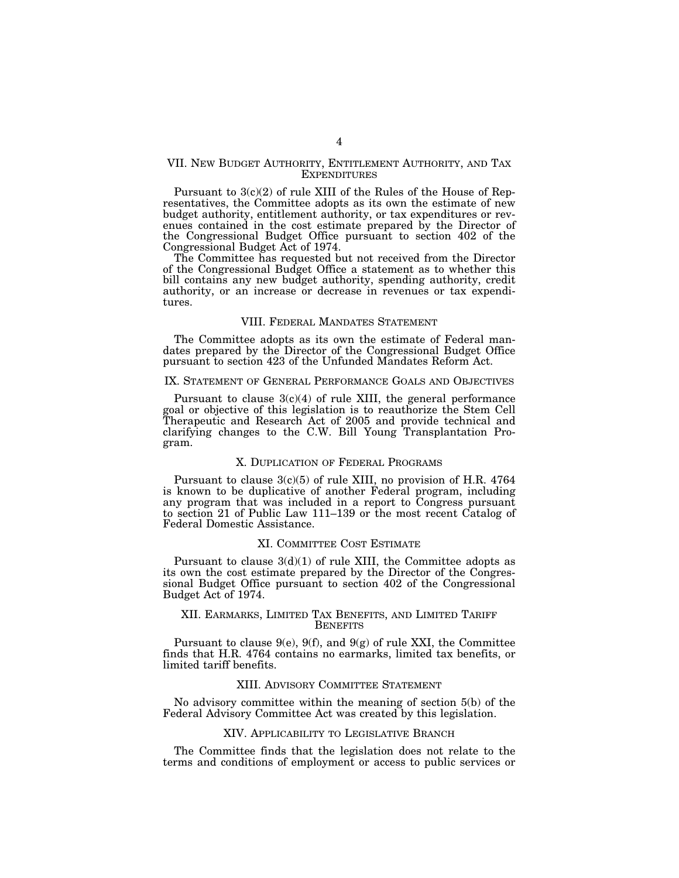### VII. NEW BUDGET AUTHORITY, ENTITLEMENT AUTHORITY, AND TAX EXPENDITURES

Pursuant to 3(c)(2) of rule XIII of the Rules of the House of Representatives, the Committee adopts as its own the estimate of new budget authority, entitlement authority, or tax expenditures or revenues contained in the cost estimate prepared by the Director of the Congressional Budget Office pursuant to section 402 of the Congressional Budget Act of 1974.

The Committee has requested but not received from the Director of the Congressional Budget Office a statement as to whether this bill contains any new budget authority, spending authority, credit authority, or an increase or decrease in revenues or tax expenditures.

#### VIII. FEDERAL MANDATES STATEMENT

The Committee adopts as its own the estimate of Federal mandates prepared by the Director of the Congressional Budget Office pursuant to section 423 of the Unfunded Mandates Reform Act.

#### IX. STATEMENT OF GENERAL PERFORMANCE GOALS AND OBJECTIVES

Pursuant to clause  $3(c)(4)$  of rule XIII, the general performance goal or objective of this legislation is to reauthorize the Stem Cell Therapeutic and Research Act of 2005 and provide technical and clarifying changes to the C.W. Bill Young Transplantation Program.

# X. DUPLICATION OF FEDERAL PROGRAMS

Pursuant to clause 3(c)(5) of rule XIII, no provision of H.R. 4764 is known to be duplicative of another Federal program, including any program that was included in a report to Congress pursuant to section 21 of Public Law 111–139 or the most recent Catalog of Federal Domestic Assistance.

#### XI. COMMITTEE COST ESTIMATE

Pursuant to clause  $3(d)(1)$  of rule XIII, the Committee adopts as its own the cost estimate prepared by the Director of the Congressional Budget Office pursuant to section 402 of the Congressional Budget Act of 1974.

### XII. EARMARKS, LIMITED TAX BENEFITS, AND LIMITED TARIFF **BENEFITS**

Pursuant to clause  $9(e)$ ,  $9(f)$ , and  $9(g)$  of rule XXI, the Committee finds that H.R. 4764 contains no earmarks, limited tax benefits, or limited tariff benefits.

### XIII. ADVISORY COMMITTEE STATEMENT

No advisory committee within the meaning of section 5(b) of the Federal Advisory Committee Act was created by this legislation.

#### XIV. APPLICABILITY TO LEGISLATIVE BRANCH

The Committee finds that the legislation does not relate to the terms and conditions of employment or access to public services or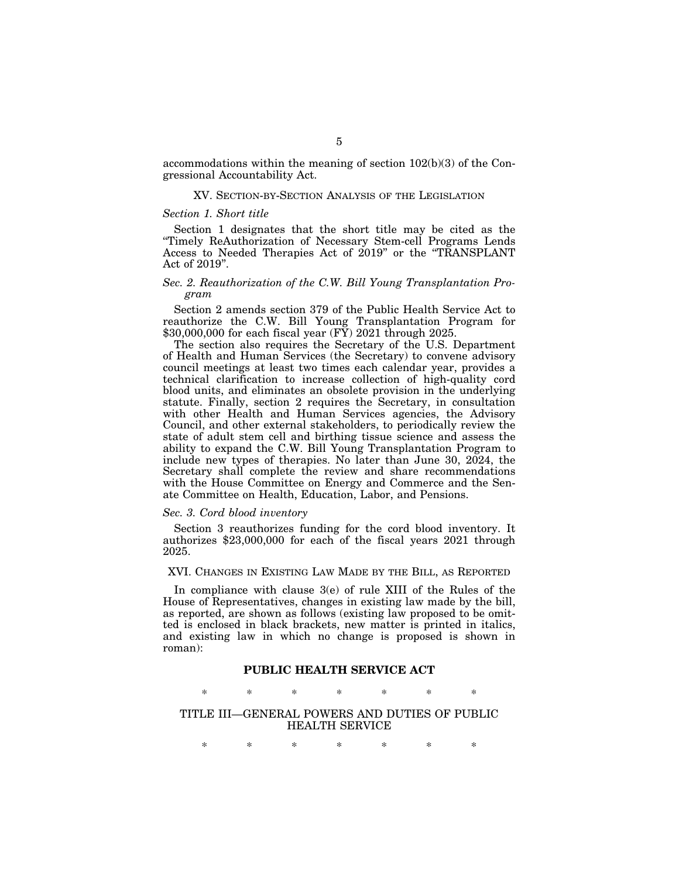accommodations within the meaning of section 102(b)(3) of the Congressional Accountability Act.

### XV. SECTION-BY-SECTION ANALYSIS OF THE LEGISLATION

## *Section 1. Short title*

Section 1 designates that the short title may be cited as the ''Timely ReAuthorization of Necessary Stem-cell Programs Lends Access to Needed Therapies Act of 2019'' or the ''TRANSPLANT Act of 2019''.

### *Sec. 2. Reauthorization of the C.W. Bill Young Transplantation Program*

Section 2 amends section 379 of the Public Health Service Act to reauthorize the C.W. Bill Young Transplantation Program for \$30,000,000 for each fiscal year (FY) 2021 through 2025.

The section also requires the Secretary of the U.S. Department of Health and Human Services (the Secretary) to convene advisory council meetings at least two times each calendar year, provides a technical clarification to increase collection of high-quality cord blood units, and eliminates an obsolete provision in the underlying statute. Finally, section 2 requires the Secretary, in consultation with other Health and Human Services agencies, the Advisory Council, and other external stakeholders, to periodically review the state of adult stem cell and birthing tissue science and assess the ability to expand the C.W. Bill Young Transplantation Program to include new types of therapies. No later than June 30, 2024, the Secretary shall complete the review and share recommendations with the House Committee on Energy and Commerce and the Senate Committee on Health, Education, Labor, and Pensions.

#### *Sec. 3. Cord blood inventory*

Section 3 reauthorizes funding for the cord blood inventory. It authorizes \$23,000,000 for each of the fiscal years 2021 through 2025.

XVI. CHANGES IN EXISTING LAW MADE BY THE BILL, AS REPORTED

In compliance with clause 3(e) of rule XIII of the Rules of the House of Representatives, changes in existing law made by the bill, as reported, are shown as follows (existing law proposed to be omitted is enclosed in black brackets, new matter is printed in italics, and existing law in which no change is proposed is shown in roman):

# **PUBLIC HEALTH SERVICE ACT**

\* \* \* \* \* \* \*

TITLE III—GENERAL POWERS AND DUTIES OF PUBLIC HEALTH SERVICE

\* \* \* \* \* \* \*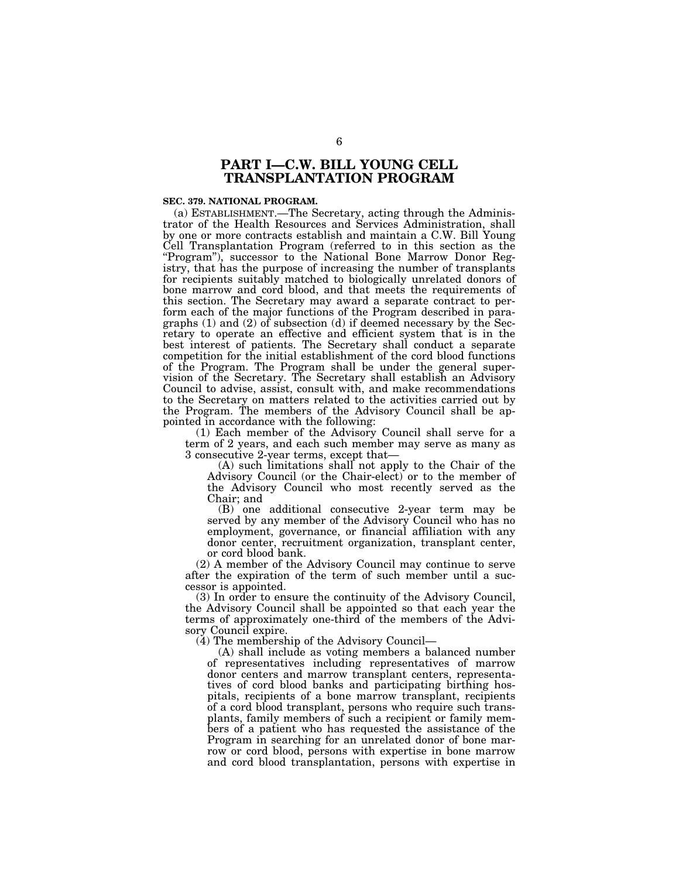# **PART I—C.W. BILL YOUNG CELL TRANSPLANTATION PROGRAM**

#### **SEC. 379. NATIONAL PROGRAM.**

(a) ESTABLISHMENT.—The Secretary, acting through the Administrator of the Health Resources and Services Administration, shall by one or more contracts establish and maintain a C.W. Bill Young Cell Transplantation Program (referred to in this section as the ''Program''), successor to the National Bone Marrow Donor Registry, that has the purpose of increasing the number of transplants for recipients suitably matched to biologically unrelated donors of bone marrow and cord blood, and that meets the requirements of this section. The Secretary may award a separate contract to perform each of the major functions of the Program described in paragraphs (1) and (2) of subsection (d) if deemed necessary by the Secretary to operate an effective and efficient system that is in the best interest of patients. The Secretary shall conduct a separate competition for the initial establishment of the cord blood functions of the Program. The Program shall be under the general supervision of the Secretary. The Secretary shall establish an Advisory Council to advise, assist, consult with, and make recommendations to the Secretary on matters related to the activities carried out by the Program. The members of the Advisory Council shall be appointed in accordance with the following:

(1) Each member of the Advisory Council shall serve for a term of 2 years, and each such member may serve as many as 3 consecutive 2-year terms, except that—

(A) such limitations shall not apply to the Chair of the Advisory Council (or the Chair-elect) or to the member of the Advisory Council who most recently served as the Chair; and

(B) one additional consecutive 2-year term may be served by any member of the Advisory Council who has no employment, governance, or financial affiliation with any donor center, recruitment organization, transplant center, or cord blood bank.

(2) A member of the Advisory Council may continue to serve after the expiration of the term of such member until a successor is appointed.

(3) In order to ensure the continuity of the Advisory Council, the Advisory Council shall be appointed so that each year the terms of approximately one-third of the members of the Advisory Council expire.

(4) The membership of the Advisory Council—

(A) shall include as voting members a balanced number of representatives including representatives of marrow donor centers and marrow transplant centers, representatives of cord blood banks and participating birthing hospitals, recipients of a bone marrow transplant, recipients of a cord blood transplant, persons who require such transplants, family members of such a recipient or family members of a patient who has requested the assistance of the Program in searching for an unrelated donor of bone marrow or cord blood, persons with expertise in bone marrow and cord blood transplantation, persons with expertise in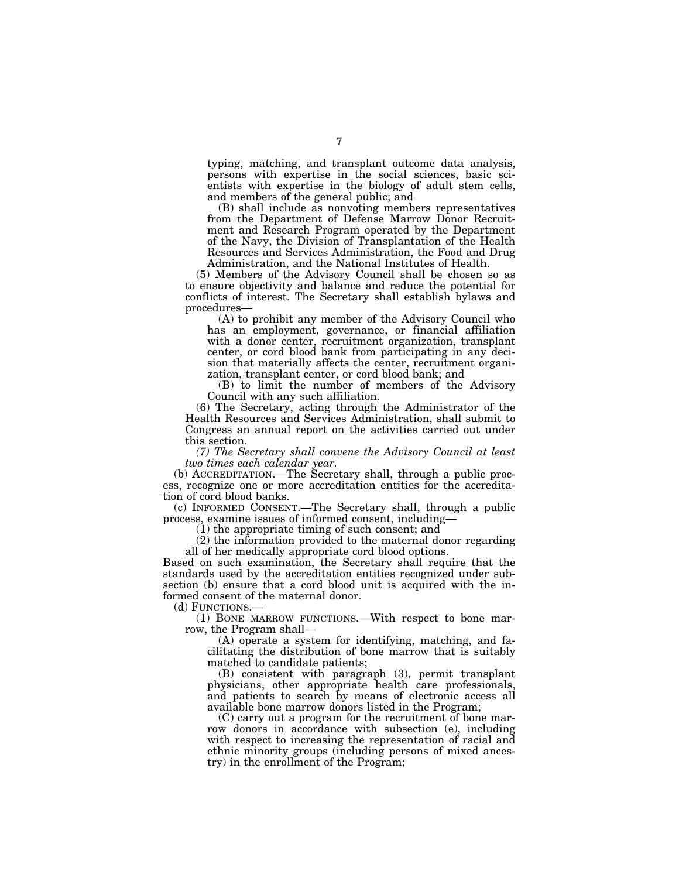typing, matching, and transplant outcome data analysis, persons with expertise in the social sciences, basic scientists with expertise in the biology of adult stem cells, and members of the general public; and

(B) shall include as nonvoting members representatives from the Department of Defense Marrow Donor Recruitment and Research Program operated by the Department of the Navy, the Division of Transplantation of the Health Resources and Services Administration, the Food and Drug Administration, and the National Institutes of Health.

(5) Members of the Advisory Council shall be chosen so as

to ensure objectivity and balance and reduce the potential for conflicts of interest. The Secretary shall establish bylaws and procedures—

(A) to prohibit any member of the Advisory Council who has an employment, governance, or financial affiliation with a donor center, recruitment organization, transplant center, or cord blood bank from participating in any decision that materially affects the center, recruitment organization, transplant center, or cord blood bank; and

(B) to limit the number of members of the Advisory Council with any such affiliation.

(6) The Secretary, acting through the Administrator of the Health Resources and Services Administration, shall submit to Congress an annual report on the activities carried out under this section.

*(7) The Secretary shall convene the Advisory Council at least two times each calendar year.* 

(b) ACCREDITATION.—The Secretary shall, through a public process, recognize one or more accreditation entities for the accreditation of cord blood banks.

(c) INFORMED CONSENT.—The Secretary shall, through a public process, examine issues of informed consent, including—

(1) the appropriate timing of such consent; and

(2) the information provided to the maternal donor regarding all of her medically appropriate cord blood options.

Based on such examination, the Secretary shall require that the standards used by the accreditation entities recognized under subsection (b) ensure that a cord blood unit is acquired with the informed consent of the maternal donor.

(d) FUNCTIONS.—

(1) BONE MARROW FUNCTIONS.—With respect to bone marrow, the Program shall—

(A) operate a system for identifying, matching, and facilitating the distribution of bone marrow that is suitably matched to candidate patients;

(B) consistent with paragraph (3), permit transplant physicians, other appropriate health care professionals, and patients to search by means of electronic access all available bone marrow donors listed in the Program;

(C) carry out a program for the recruitment of bone marrow donors in accordance with subsection (e), including with respect to increasing the representation of racial and ethnic minority groups (including persons of mixed ancestry) in the enrollment of the Program;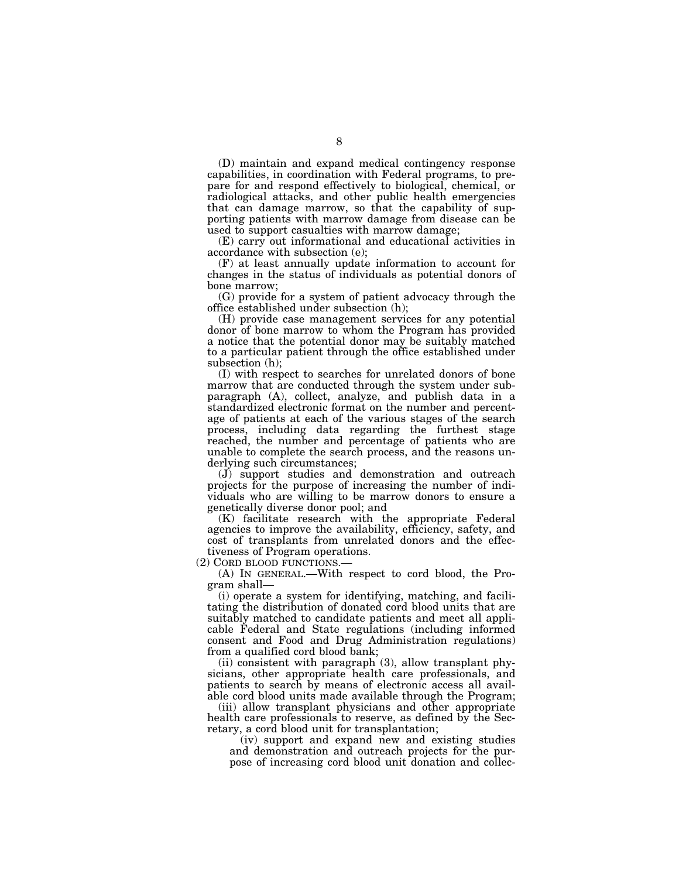(D) maintain and expand medical contingency response capabilities, in coordination with Federal programs, to prepare for and respond effectively to biological, chemical, or radiological attacks, and other public health emergencies that can damage marrow, so that the capability of supporting patients with marrow damage from disease can be used to support casualties with marrow damage;

(E) carry out informational and educational activities in accordance with subsection (e);

(F) at least annually update information to account for changes in the status of individuals as potential donors of bone marrow;

(G) provide for a system of patient advocacy through the office established under subsection (h);

(H) provide case management services for any potential donor of bone marrow to whom the Program has provided a notice that the potential donor may be suitably matched to a particular patient through the office established under subsection (h);

(I) with respect to searches for unrelated donors of bone marrow that are conducted through the system under subparagraph (A), collect, analyze, and publish data in a standardized electronic format on the number and percentage of patients at each of the various stages of the search process, including data regarding the furthest stage reached, the number and percentage of patients who are unable to complete the search process, and the reasons underlying such circumstances;

(J) support studies and demonstration and outreach projects for the purpose of increasing the number of individuals who are willing to be marrow donors to ensure a genetically diverse donor pool; and

(K) facilitate research with the appropriate Federal agencies to improve the availability, efficiency, safety, and cost of transplants from unrelated donors and the effectiveness of Program operations.<br>(2) CORD BLOOD FUNCTIONS.—

 $(A)$  In GENERAL.—With respect to cord blood, the Program shall—

(i) operate a system for identifying, matching, and facilitating the distribution of donated cord blood units that are suitably matched to candidate patients and meet all applicable Federal and State regulations (including informed consent and Food and Drug Administration regulations) from a qualified cord blood bank;

(ii) consistent with paragraph (3), allow transplant physicians, other appropriate health care professionals, and patients to search by means of electronic access all available cord blood units made available through the Program;

(iii) allow transplant physicians and other appropriate health care professionals to reserve, as defined by the Secretary, a cord blood unit for transplantation;

(iv) support and expand new and existing studies and demonstration and outreach projects for the purpose of increasing cord blood unit donation and collec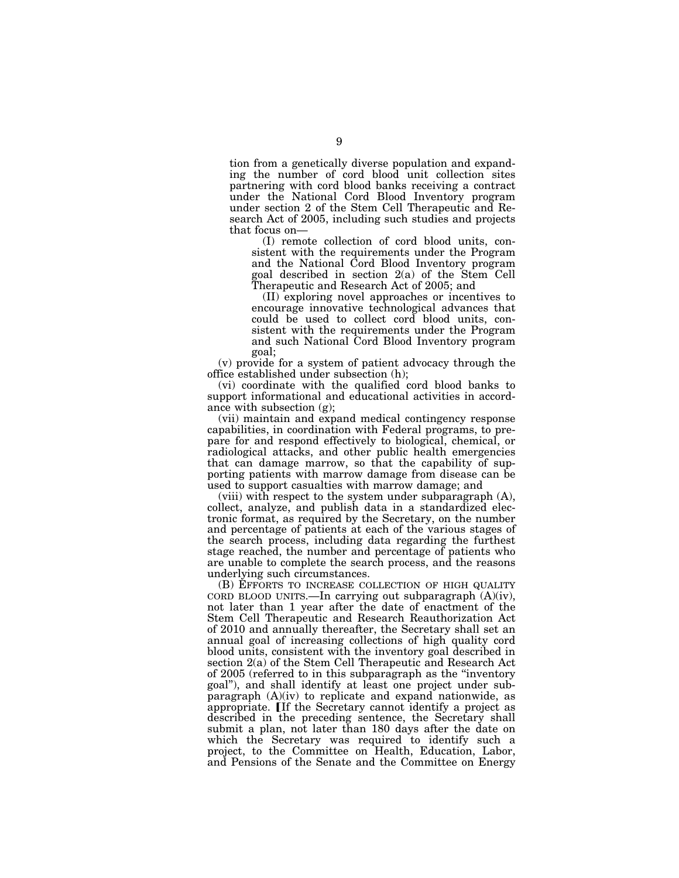tion from a genetically diverse population and expanding the number of cord blood unit collection sites partnering with cord blood banks receiving a contract under the National Cord Blood Inventory program under section 2 of the Stem Cell Therapeutic and Research Act of 2005, including such studies and projects that focus on—

(I) remote collection of cord blood units, consistent with the requirements under the Program and the National Cord Blood Inventory program goal described in section 2(a) of the Stem Cell Therapeutic and Research Act of 2005; and

(II) exploring novel approaches or incentives to encourage innovative technological advances that could be used to collect cord blood units, consistent with the requirements under the Program and such National Cord Blood Inventory program goal;

(v) provide for a system of patient advocacy through the office established under subsection (h);

(vi) coordinate with the qualified cord blood banks to support informational and educational activities in accordance with subsection (g);

(vii) maintain and expand medical contingency response capabilities, in coordination with Federal programs, to prepare for and respond effectively to biological, chemical, or radiological attacks, and other public health emergencies that can damage marrow, so that the capability of supporting patients with marrow damage from disease can be used to support casualties with marrow damage; and

(viii) with respect to the system under subparagraph (A), collect, analyze, and publish data in a standardized electronic format, as required by the Secretary, on the number and percentage of patients at each of the various stages of the search process, including data regarding the furthest stage reached, the number and percentage of patients who are unable to complete the search process, and the reasons underlying such circumstances.

(B) EFFORTS TO INCREASE COLLECTION OF HIGH QUALITY CORD BLOOD UNITS.—In carrying out subparagraph  $(A)(iv)$ , not later than 1 year after the date of enactment of the Stem Cell Therapeutic and Research Reauthorization Act of 2010 and annually thereafter, the Secretary shall set an annual goal of increasing collections of high quality cord blood units, consistent with the inventory goal described in section 2(a) of the Stem Cell Therapeutic and Research Act of 2005 (referred to in this subparagraph as the ''inventory goal''), and shall identify at least one project under subparagraph (A)(iv) to replicate and expand nationwide, as appropriate. If the Secretary cannot identify a project as described in the preceding sentence, the Secretary shall submit a plan, not later than 180 days after the date on which the Secretary was required to identify such a project, to the Committee on Health, Education, Labor, and Pensions of the Senate and the Committee on Energy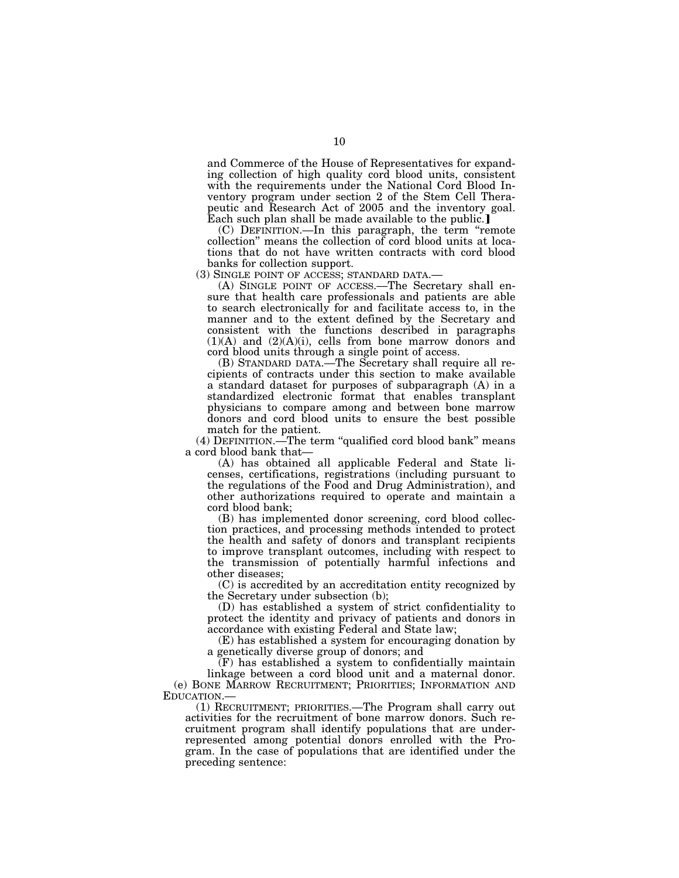and Commerce of the House of Representatives for expanding collection of high quality cord blood units, consistent with the requirements under the National Cord Blood Inventory program under section 2 of the Stem Cell Therapeutic and Research Act of 2005 and the inventory goal. Each such plan shall be made available to the public.

(C) DEFINITION.—In this paragraph, the term ''remote collection'' means the collection of cord blood units at locations that do not have written contracts with cord blood banks for collection support.<br>(3) SINGLE POINT OF ACCESS; STANDARD DATA.

(A) SINGLE POINT OF ACCESS.—The Secretary shall ensure that health care professionals and patients are able to search electronically for and facilitate access to, in the manner and to the extent defined by the Secretary and consistent with the functions described in paragraphs  $(1)(A)$  and  $(2)(A)(i)$ , cells from bone marrow donors and cord blood units through a single point of access.

(B) STANDARD DATA.—The Secretary shall require all recipients of contracts under this section to make available a standard dataset for purposes of subparagraph (A) in a standardized electronic format that enables transplant physicians to compare among and between bone marrow donors and cord blood units to ensure the best possible match for the patient.

(4) DEFINITION.—The term ''qualified cord blood bank'' means a cord blood bank that—

(A) has obtained all applicable Federal and State licenses, certifications, registrations (including pursuant to the regulations of the Food and Drug Administration), and other authorizations required to operate and maintain a cord blood bank;

(B) has implemented donor screening, cord blood collection practices, and processing methods intended to protect the health and safety of donors and transplant recipients to improve transplant outcomes, including with respect to the transmission of potentially harmful infections and other diseases;

(C) is accredited by an accreditation entity recognized by the Secretary under subsection (b);

(D) has established a system of strict confidentiality to protect the identity and privacy of patients and donors in accordance with existing Federal and State law;

(E) has established a system for encouraging donation by a genetically diverse group of donors; and

 $(F)$  has established a system to confidentially maintain linkage between a cord blood unit and a maternal donor. (e) BONE MARROW RECRUITMENT; PRIORITIES; INFORMATION AND

(1) RECRUITMENT; PRIORITIES.—The Program shall carry out activities for the recruitment of bone marrow donors. Such recruitment program shall identify populations that are underrepresented among potential donors enrolled with the Program. In the case of populations that are identified under the preceding sentence: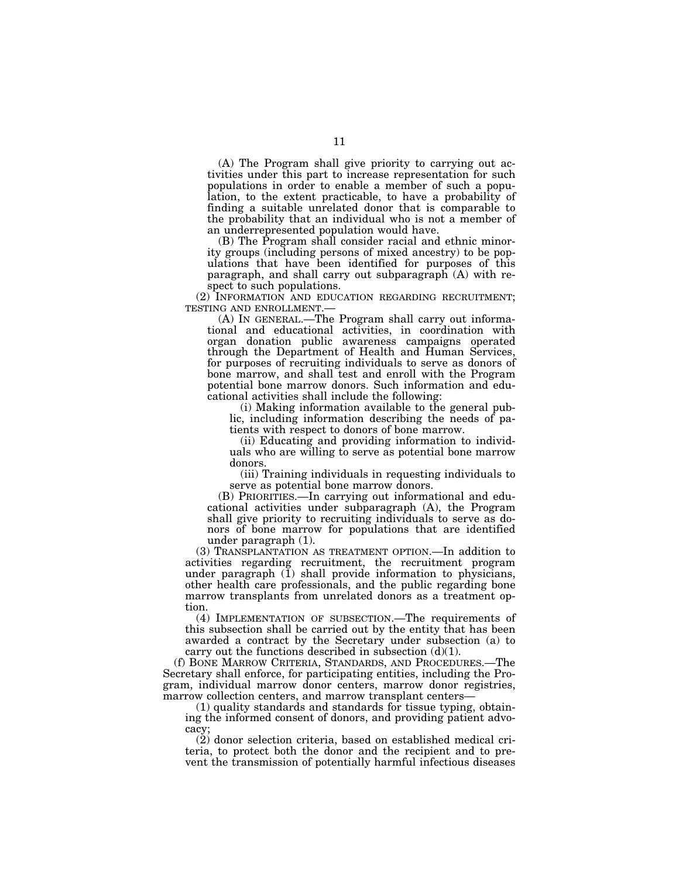(A) The Program shall give priority to carrying out activities under this part to increase representation for such populations in order to enable a member of such a population, to the extent practicable, to have a probability of finding a suitable unrelated donor that is comparable to the probability that an individual who is not a member of an underrepresented population would have.

(B) The Program shall consider racial and ethnic minority groups (including persons of mixed ancestry) to be populations that have been identified for purposes of this paragraph, and shall carry out subparagraph (A) with respect to such populations.

(2) INFORMATION AND EDUCATION REGARDING RECRUITMENT; TESTING AND ENROLLMENT.—

(A) IN GENERAL.—The Program shall carry out informational and educational activities, in coordination with organ donation public awareness campaigns operated through the Department of Health and Human Services, for purposes of recruiting individuals to serve as donors of bone marrow, and shall test and enroll with the Program potential bone marrow donors. Such information and educational activities shall include the following:

(i) Making information available to the general public, including information describing the needs of patients with respect to donors of bone marrow.

(ii) Educating and providing information to individuals who are willing to serve as potential bone marrow donors.

(iii) Training individuals in requesting individuals to serve as potential bone marrow donors.

(B) PRIORITIES.—In carrying out informational and educational activities under subparagraph (A), the Program shall give priority to recruiting individuals to serve as donors of bone marrow for populations that are identified under paragraph (1).

(3) TRANSPLANTATION AS TREATMENT OPTION.—In addition to activities regarding recruitment, the recruitment program under paragraph  $(I)$  shall provide information to physicians, other health care professionals, and the public regarding bone marrow transplants from unrelated donors as a treatment option.

(4) IMPLEMENTATION OF SUBSECTION.—The requirements of this subsection shall be carried out by the entity that has been awarded a contract by the Secretary under subsection (a) to carry out the functions described in subsection  $(d)(1)$ .

(f) BONE MARROW CRITERIA, STANDARDS, AND PROCEDURES.—The Secretary shall enforce, for participating entities, including the Program, individual marrow donor centers, marrow donor registries, marrow collection centers, and marrow transplant centers—

(1) quality standards and standards for tissue typing, obtaining the informed consent of donors, and providing patient advocacy;

(2) donor selection criteria, based on established medical criteria, to protect both the donor and the recipient and to prevent the transmission of potentially harmful infectious diseases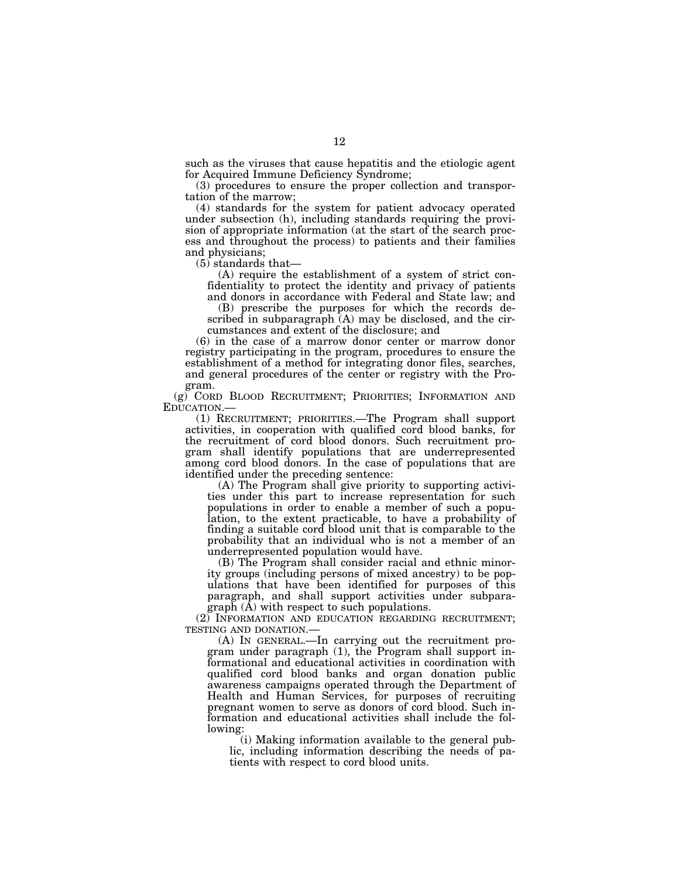such as the viruses that cause hepatitis and the etiologic agent for Acquired Immune Deficiency Syndrome;

(3) procedures to ensure the proper collection and transportation of the marrow;

(4) standards for the system for patient advocacy operated under subsection (h), including standards requiring the provision of appropriate information (at the start of the search process and throughout the process) to patients and their families and physicians;

 $(5)$  standards that—

(A) require the establishment of a system of strict confidentiality to protect the identity and privacy of patients

and donors in accordance with Federal and State law; and (B) prescribe the purposes for which the records described in subparagraph (A) may be disclosed, and the circumstances and extent of the disclosure; and

(6) in the case of a marrow donor center or marrow donor registry participating in the program, procedures to ensure the establishment of a method for integrating donor files, searches, and general procedures of the center or registry with the Program.

(g) CORD BLOOD RECRUITMENT; PRIORITIES; INFORMATION AND EDUCATION.—

(1) RECRUITMENT; PRIORITIES.—The Program shall support activities, in cooperation with qualified cord blood banks, for the recruitment of cord blood donors. Such recruitment program shall identify populations that are underrepresented among cord blood donors. In the case of populations that are identified under the preceding sentence:

(A) The Program shall give priority to supporting activities under this part to increase representation for such populations in order to enable a member of such a population, to the extent practicable, to have a probability of finding a suitable cord blood unit that is comparable to the probability that an individual who is not a member of an underrepresented population would have.

(B) The Program shall consider racial and ethnic minority groups (including persons of mixed ancestry) to be populations that have been identified for purposes of this paragraph, and shall support activities under subparagraph (A) with respect to such populations.

(2) INFORMATION AND EDUCATION REGARDING RECRUITMENT; TESTING AND DONATION.—

(A) IN GENERAL.—In carrying out the recruitment program under paragraph (1), the Program shall support informational and educational activities in coordination with qualified cord blood banks and organ donation public awareness campaigns operated through the Department of Health and Human Services, for purposes of recruiting pregnant women to serve as donors of cord blood. Such information and educational activities shall include the following:

(i) Making information available to the general public, including information describing the needs of patients with respect to cord blood units.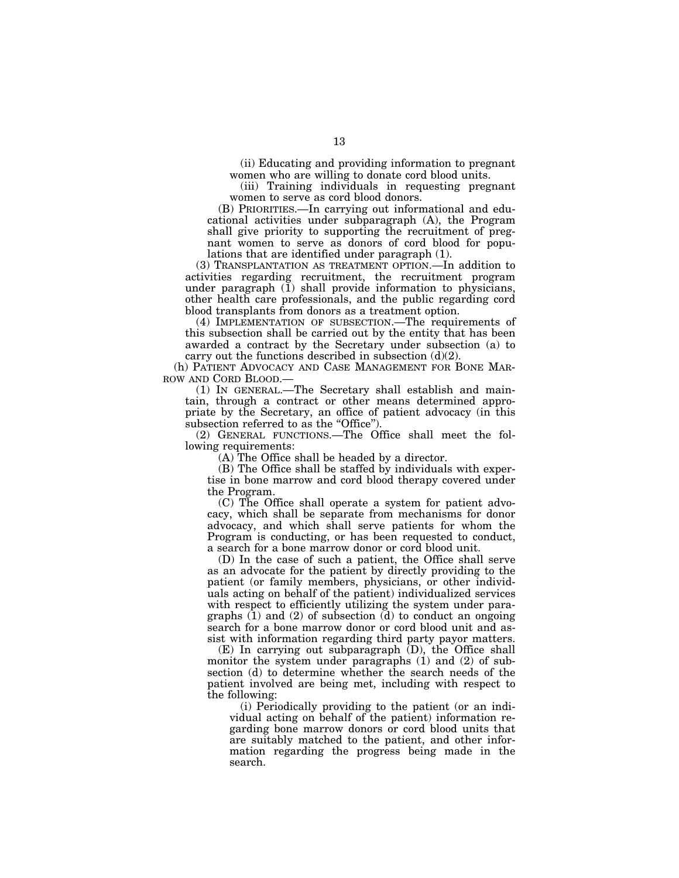(ii) Educating and providing information to pregnant women who are willing to donate cord blood units.

(iii) Training individuals in requesting pregnant women to serve as cord blood donors.

(B) PRIORITIES.—In carrying out informational and educational activities under subparagraph (A), the Program shall give priority to supporting the recruitment of pregnant women to serve as donors of cord blood for populations that are identified under paragraph (1).

(3) TRANSPLANTATION AS TREATMENT OPTION.—In addition to activities regarding recruitment, the recruitment program under paragraph (1) shall provide information to physicians, other health care professionals, and the public regarding cord blood transplants from donors as a treatment option.

(4) IMPLEMENTATION OF SUBSECTION.—The requirements of this subsection shall be carried out by the entity that has been awarded a contract by the Secretary under subsection (a) to carry out the functions described in subsection  $(d)(2)$ .

(h) PATIENT ADVOCACY AND CASE MANAGEMENT FOR BONE MAR-ROW AND CORD BLOOD.—

(1) IN GENERAL.—The Secretary shall establish and maintain, through a contract or other means determined appropriate by the Secretary, an office of patient advocacy (in this subsection referred to as the "Office".

(2) GENERAL FUNCTIONS.—The Office shall meet the following requirements:

(A) The Office shall be headed by a director.

(B) The Office shall be staffed by individuals with expertise in bone marrow and cord blood therapy covered under the Program.

(C) The Office shall operate a system for patient advocacy, which shall be separate from mechanisms for donor advocacy, and which shall serve patients for whom the Program is conducting, or has been requested to conduct, a search for a bone marrow donor or cord blood unit.

(D) In the case of such a patient, the Office shall serve as an advocate for the patient by directly providing to the patient (or family members, physicians, or other individuals acting on behalf of the patient) individualized services with respect to efficiently utilizing the system under paragraphs  $(1)$  and  $(2)$  of subsection  $(d)$  to conduct an ongoing search for a bone marrow donor or cord blood unit and assist with information regarding third party payor matters.

(E) In carrying out subparagraph (D), the Office shall monitor the system under paragraphs (1) and (2) of subsection (d) to determine whether the search needs of the patient involved are being met, including with respect to the following:

(i) Periodically providing to the patient (or an individual acting on behalf of the patient) information regarding bone marrow donors or cord blood units that are suitably matched to the patient, and other information regarding the progress being made in the search.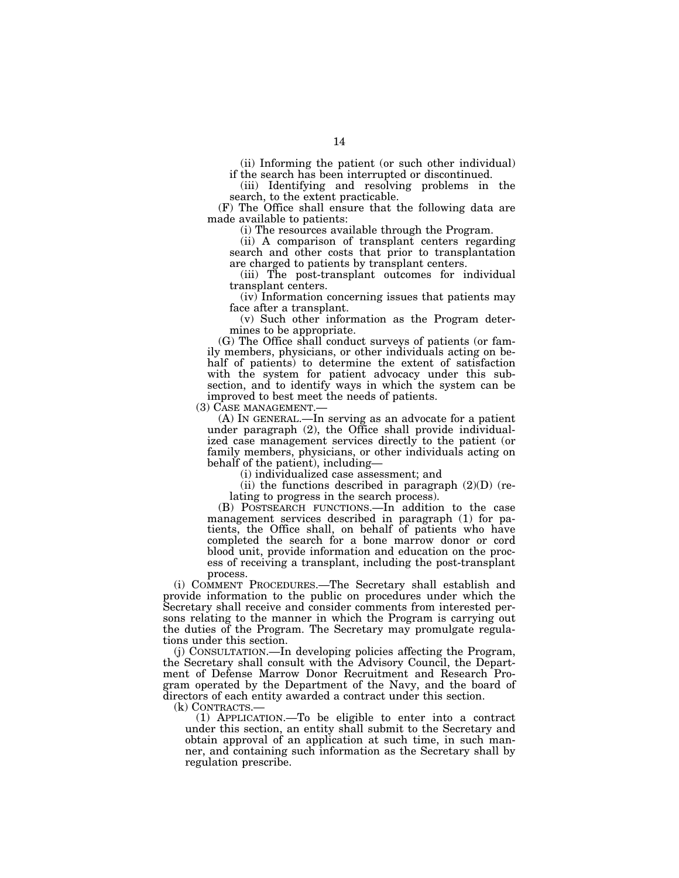(ii) Informing the patient (or such other individual) if the search has been interrupted or discontinued.

(iii) Identifying and resolving problems in the search, to the extent practicable.

(F) The Office shall ensure that the following data are made available to patients:

(i) The resources available through the Program.

(ii) A comparison of transplant centers regarding search and other costs that prior to transplantation are charged to patients by transplant centers.

(iii) The post-transplant outcomes for individual transplant centers.

(iv) Information concerning issues that patients may face after a transplant.

(v) Such other information as the Program determines to be appropriate.

(G) The Office shall conduct surveys of patients (or family members, physicians, or other individuals acting on behalf of patients) to determine the extent of satisfaction with the system for patient advocacy under this subsection, and to identify ways in which the system can be improved to best meet the needs of patients.

(3) CASE MANAGEMENT.— (A) IN GENERAL.—In serving as an advocate for a patient under paragraph (2), the Office shall provide individualized case management services directly to the patient (or family members, physicians, or other individuals acting on behalf of the patient), including—

(i) individualized case assessment; and

(ii) the functions described in paragraph  $(2)(D)$  (relating to progress in the search process).

(B) POSTSEARCH FUNCTIONS.—In addition to the case management services described in paragraph (1) for patients, the Office shall, on behalf of patients who have completed the search for a bone marrow donor or cord blood unit, provide information and education on the process of receiving a transplant, including the post-transplant process.

(i) COMMENT PROCEDURES.—The Secretary shall establish and provide information to the public on procedures under which the Secretary shall receive and consider comments from interested persons relating to the manner in which the Program is carrying out the duties of the Program. The Secretary may promulgate regulations under this section.

(j) CONSULTATION.—In developing policies affecting the Program, the Secretary shall consult with the Advisory Council, the Department of Defense Marrow Donor Recruitment and Research Program operated by the Department of the Navy, and the board of directors of each entity awarded a contract under this section.

(k) CONTRACTS.— (1) APPLICATION.—To be eligible to enter into a contract under this section, an entity shall submit to the Secretary and obtain approval of an application at such time, in such manner, and containing such information as the Secretary shall by regulation prescribe.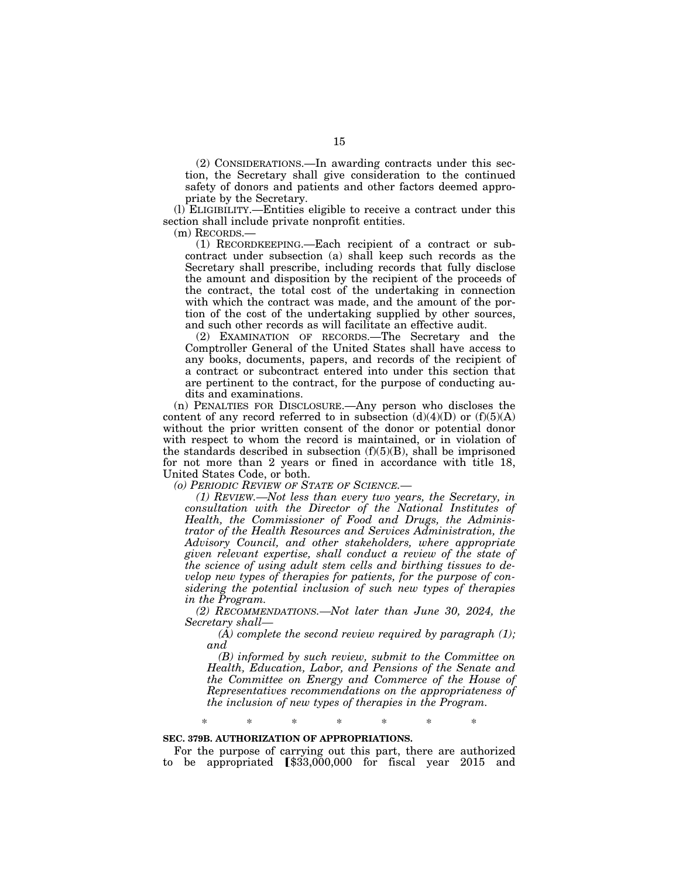(2) CONSIDERATIONS.—In awarding contracts under this section, the Secretary shall give consideration to the continued safety of donors and patients and other factors deemed appropriate by the Secretary.

(l) ELIGIBILITY.—Entities eligible to receive a contract under this section shall include private nonprofit entities.

(m) RECORDS.—

(1) RECORDKEEPING.—Each recipient of a contract or subcontract under subsection (a) shall keep such records as the Secretary shall prescribe, including records that fully disclose the amount and disposition by the recipient of the proceeds of the contract, the total cost of the undertaking in connection with which the contract was made, and the amount of the portion of the cost of the undertaking supplied by other sources, and such other records as will facilitate an effective audit.

(2) EXAMINATION OF RECORDS.—The Secretary and the Comptroller General of the United States shall have access to any books, documents, papers, and records of the recipient of a contract or subcontract entered into under this section that are pertinent to the contract, for the purpose of conducting audits and examinations.

(n) PENALTIES FOR DISCLOSURE.—Any person who discloses the content of any record referred to in subsection  $(d)(4)(D)$  or  $(f)(5)(A)$ without the prior written consent of the donor or potential donor with respect to whom the record is maintained, or in violation of the standards described in subsection  $(f)(5)(B)$ , shall be imprisoned for not more than 2 years or fined in accordance with title 18, United States Code, or both.

*(o) PERIODIC REVIEW OF STATE OF SCIENCE.—* 

*(1) REVIEW.—Not less than every two years, the Secretary, in consultation with the Director of the National Institutes of Health, the Commissioner of Food and Drugs, the Administrator of the Health Resources and Services Administration, the Advisory Council, and other stakeholders, where appropriate given relevant expertise, shall conduct a review of the state of the science of using adult stem cells and birthing tissues to develop new types of therapies for patients, for the purpose of considering the potential inclusion of such new types of therapies in the Program.* 

*(2) RECOMMENDATIONS.—Not later than June 30, 2024, the Secretary shall—* 

*(A) complete the second review required by paragraph (1); and* 

*(B) informed by such review, submit to the Committee on Health, Education, Labor, and Pensions of the Senate and the Committee on Energy and Commerce of the House of Representatives recommendations on the appropriateness of the inclusion of new types of therapies in the Program.* 

\* \* \* \* \* \* \*

# **SEC. 379B. AUTHORIZATION OF APPROPRIATIONS.**

For the purpose of carrying out this part, there are authorized to be appropriated  $$33,000,000$  for fiscal year 2015 and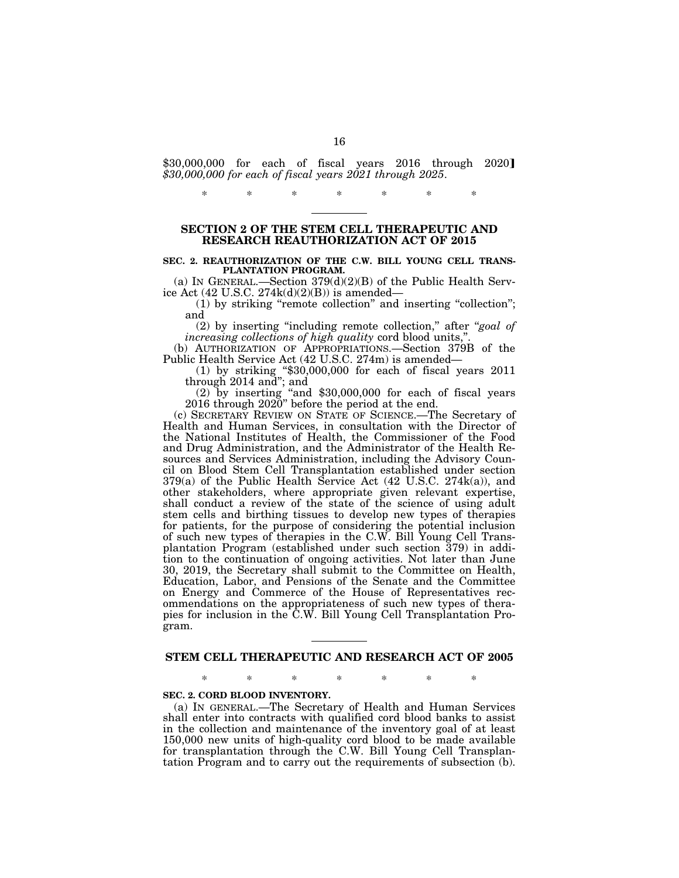$$30,000,000$  for each of fiscal years  $2016$  through  $2020$ *\$30,000,000 for each of fiscal years 2021 through 2025*.

\* \* \* \* \* \* \*

# **SECTION 2 OF THE STEM CELL THERAPEUTIC AND RESEARCH REAUTHORIZATION ACT OF 2015**

#### **SEC. 2. REAUTHORIZATION OF THE C.W. BILL YOUNG CELL TRANS-PLANTATION PROGRAM.**

(a) IN GENERAL.—Section  $379(d)(2)(B)$  of the Public Health Service Act (42 U.S.C. 274k(d)(2)(B)) is amended—

(1) by striking ''remote collection'' and inserting ''collection''; and

(2) by inserting ''including remote collection,'' after ''*goal of increasing collections of high quality cord blood units,* 

(b) AUTHORIZATION OF APPROPRIATIONS.—Section 379B of the Public Health Service Act (42 U.S.C. 274m) is amended—

(1) by striking ''\$30,000,000 for each of fiscal years 2011 through 2014 and''; and

(2) by inserting ''and \$30,000,000 for each of fiscal years 2016 through 2020'' before the period at the end.

(c) SECRETARY REVIEW ON STATE OF SCIENCE.—The Secretary of Health and Human Services, in consultation with the Director of the National Institutes of Health, the Commissioner of the Food and Drug Administration, and the Administrator of the Health Resources and Services Administration, including the Advisory Council on Blood Stem Cell Transplantation established under section 379(a) of the Public Health Service Act (42 U.S.C. 274k(a)), and other stakeholders, where appropriate given relevant expertise, shall conduct a review of the state of the science of using adult stem cells and birthing tissues to develop new types of therapies for patients, for the purpose of considering the potential inclusion of such new types of therapies in the C.W. Bill Young Cell Transplantation Program (established under such section 379) in addition to the continuation of ongoing activities. Not later than June 30, 2019, the Secretary shall submit to the Committee on Health, Education, Labor, and Pensions of the Senate and the Committee on Energy and Commerce of the House of Representatives recommendations on the appropriateness of such new types of therapies for inclusion in the C.W. Bill Young Cell Transplantation Program.

# **STEM CELL THERAPEUTIC AND RESEARCH ACT OF 2005**

\* \* \* \* \* \* \*

#### **SEC. 2. CORD BLOOD INVENTORY.**

(a) IN GENERAL.—The Secretary of Health and Human Services shall enter into contracts with qualified cord blood banks to assist in the collection and maintenance of the inventory goal of at least 150,000 new units of high-quality cord blood to be made available for transplantation through the C.W. Bill Young Cell Transplantation Program and to carry out the requirements of subsection (b).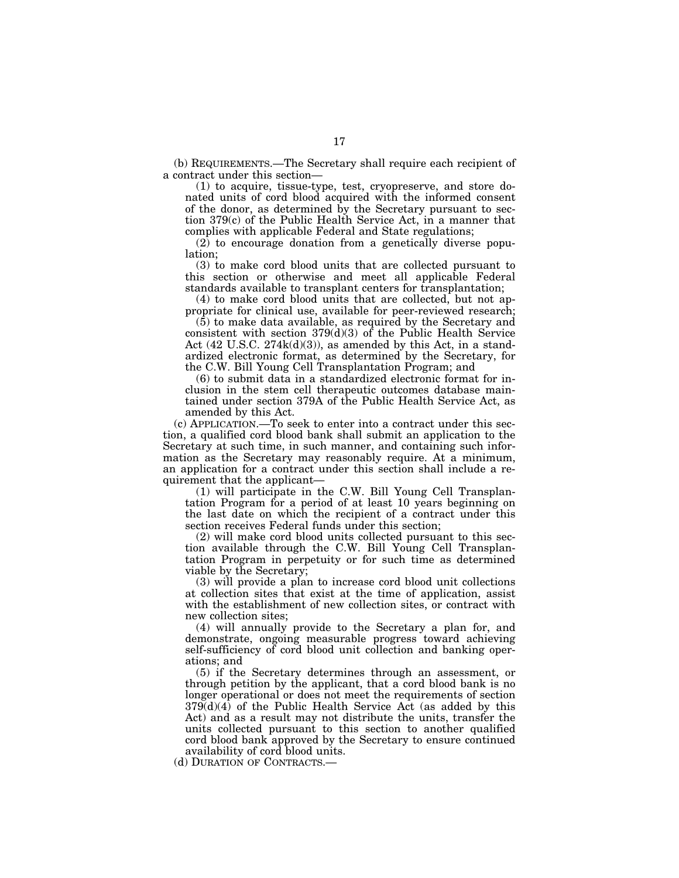(b) REQUIREMENTS.—The Secretary shall require each recipient of a contract under this section—

(1) to acquire, tissue-type, test, cryopreserve, and store donated units of cord blood acquired with the informed consent of the donor, as determined by the Secretary pursuant to section 379(c) of the Public Health Service Act, in a manner that complies with applicable Federal and State regulations;

(2) to encourage donation from a genetically diverse population;

(3) to make cord blood units that are collected pursuant to this section or otherwise and meet all applicable Federal standards available to transplant centers for transplantation;

(4) to make cord blood units that are collected, but not appropriate for clinical use, available for peer-reviewed research;

(5) to make data available, as required by the Secretary and consistent with section 379(d)(3) of the Public Health Service Act (42 U.S.C. 274k(d)(3)), as amended by this Act, in a standardized electronic format, as determined by the Secretary, for the C.W. Bill Young Cell Transplantation Program; and

(6) to submit data in a standardized electronic format for inclusion in the stem cell therapeutic outcomes database maintained under section 379A of the Public Health Service Act, as amended by this Act.

(c) APPLICATION.—To seek to enter into a contract under this section, a qualified cord blood bank shall submit an application to the Secretary at such time, in such manner, and containing such information as the Secretary may reasonably require. At a minimum, an application for a contract under this section shall include a requirement that the applicant—

(1) will participate in the C.W. Bill Young Cell Transplantation Program for a period of at least 10 years beginning on the last date on which the recipient of a contract under this section receives Federal funds under this section;

(2) will make cord blood units collected pursuant to this section available through the C.W. Bill Young Cell Transplantation Program in perpetuity or for such time as determined viable by the Secretary;

(3) will provide a plan to increase cord blood unit collections at collection sites that exist at the time of application, assist with the establishment of new collection sites, or contract with new collection sites;

(4) will annually provide to the Secretary a plan for, and demonstrate, ongoing measurable progress toward achieving self-sufficiency of cord blood unit collection and banking operations; and

(5) if the Secretary determines through an assessment, or through petition by the applicant, that a cord blood bank is no longer operational or does not meet the requirements of section  $379(d)(4)$  of the Public Health Service Act (as added by this Act) and as a result may not distribute the units, transfer the units collected pursuant to this section to another qualified cord blood bank approved by the Secretary to ensure continued availability of cord blood units.

(d) DURATION OF CONTRACTS.—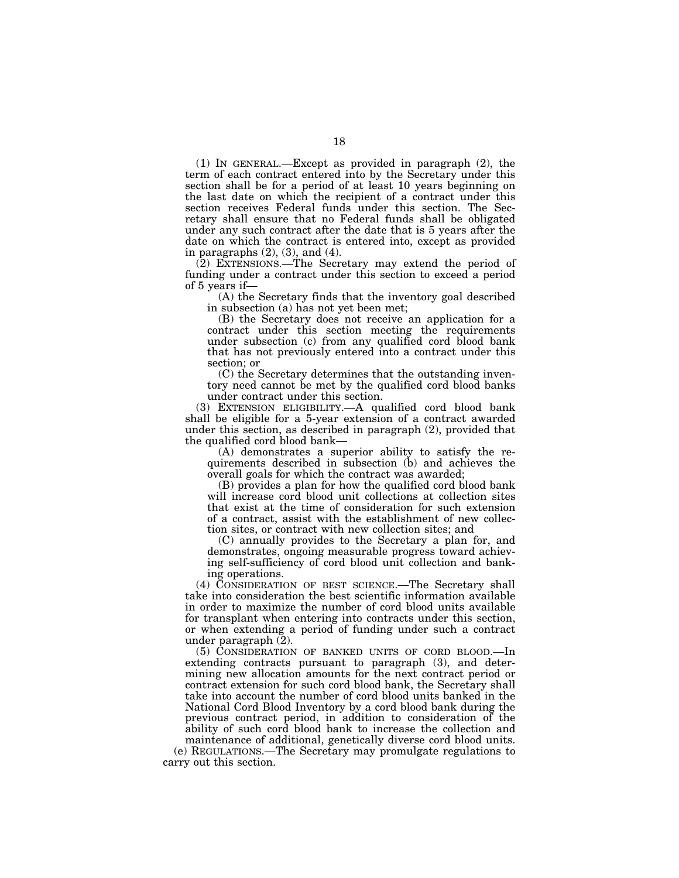(1) IN GENERAL.—Except as provided in paragraph (2), the term of each contract entered into by the Secretary under this section shall be for a period of at least 10 years beginning on the last date on which the recipient of a contract under this section receives Federal funds under this section. The Secretary shall ensure that no Federal funds shall be obligated under any such contract after the date that is 5 years after the date on which the contract is entered into, except as provided in paragraphs (2), (3), and (4).

(2) EXTENSIONS.—The Secretary may extend the period of funding under a contract under this section to exceed a period of 5 years if—

(A) the Secretary finds that the inventory goal described in subsection (a) has not yet been met;

(B) the Secretary does not receive an application for a contract under this section meeting the requirements under subsection (c) from any qualified cord blood bank that has not previously entered into a contract under this section; or

(C) the Secretary determines that the outstanding inventory need cannot be met by the qualified cord blood banks under contract under this section.

(3) EXTENSION ELIGIBILITY.—A qualified cord blood bank shall be eligible for a 5-year extension of a contract awarded under this section, as described in paragraph (2), provided that the qualified cord blood bank—

(A) demonstrates a superior ability to satisfy the requirements described in subsection (b) and achieves the overall goals for which the contract was awarded;

(B) provides a plan for how the qualified cord blood bank will increase cord blood unit collections at collection sites that exist at the time of consideration for such extension of a contract, assist with the establishment of new collection sites, or contract with new collection sites; and

(C) annually provides to the Secretary a plan for, and demonstrates, ongoing measurable progress toward achieving self-sufficiency of cord blood unit collection and banking operations.

(4) CONSIDERATION OF BEST SCIENCE.—The Secretary shall take into consideration the best scientific information available in order to maximize the number of cord blood units available for transplant when entering into contracts under this section, or when extending a period of funding under such a contract under paragraph (2).

(5) CONSIDERATION OF BANKED UNITS OF CORD BLOOD.—In extending contracts pursuant to paragraph (3), and determining new allocation amounts for the next contract period or contract extension for such cord blood bank, the Secretary shall take into account the number of cord blood units banked in the National Cord Blood Inventory by a cord blood bank during the previous contract period, in addition to consideration of the ability of such cord blood bank to increase the collection and maintenance of additional, genetically diverse cord blood units.

(e) REGULATIONS.—The Secretary may promulgate regulations to carry out this section.